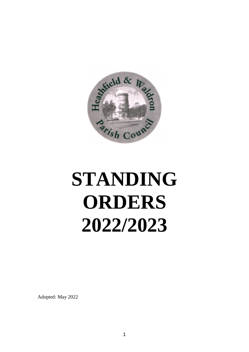

# **STANDING ORDERS 2022/2023**

Adopted: May 2022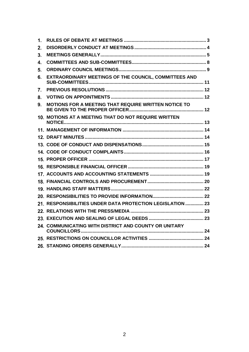| 1.      |                                                            |  |
|---------|------------------------------------------------------------|--|
| $2_{-}$ |                                                            |  |
| 3.      |                                                            |  |
| 4.      |                                                            |  |
| 5.      |                                                            |  |
| 6.      | EXTRAORDINARY MEETINGS OF THE COUNCIL, COMMITTEES AND      |  |
| 7.      |                                                            |  |
| 8.      |                                                            |  |
| 9.      | MOTIONS FOR A MEETING THAT REQUIRE WRITTEN NOTICE TO       |  |
|         | 10. MOTIONS AT A MEETING THAT DO NOT REQUIRE WRITTEN       |  |
|         |                                                            |  |
|         |                                                            |  |
|         |                                                            |  |
|         |                                                            |  |
|         |                                                            |  |
|         |                                                            |  |
|         |                                                            |  |
|         |                                                            |  |
|         |                                                            |  |
|         |                                                            |  |
|         | 21. RESPONSIBILITIES UNDER DATA PROTECTION LEGISLATION  23 |  |
|         |                                                            |  |
|         |                                                            |  |
|         | 24. COMMUNICATING WITH DISTRICT AND COUNTY OR UNITARY      |  |
|         |                                                            |  |
|         |                                                            |  |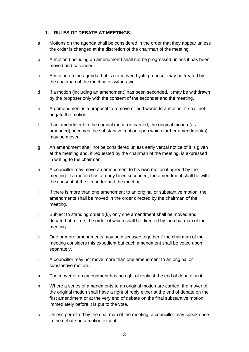#### <span id="page-2-0"></span>**1. RULES OF DEBATE AT MEETINGS**

- a Motions on the agenda shall be considered in the order that they appear unless the order is changed at the discretion of the chairman of the meeting.
- b A motion (including an amendment) shall not be progressed unless it has been moved and seconded.
- c A motion on the agenda that is not moved by its proposer may be treated by the chairman of the meeting as withdrawn.
- d If a motion (including an amendment) has been seconded, it may be withdrawn by the proposer only with the consent of the seconder and the meeting.
- e An amendment is a proposal to remove or add words to a motion. It shall not negate the motion.
- f If an amendment to the original motion is carried, the original motion (as amended) becomes the substantive motion upon which further amendment(s) may be moved.
- g An amendment shall not be considered unless early verbal notice of it is given at the meeting and, if requested by the chairman of the meeting, is expressed in writing to the chairman.
- h A councillor may move an amendment to his own motion if agreed by the meeting. If a motion has already been seconded, the amendment shall be with the consent of the seconder and the meeting.
- i If there is more than one amendment to an original or substantive motion, the amendments shall be moved in the order directed by the chairman of the meeting.
- j Subject to standing order 1(k), only one amendment shall be moved and debated at a time, the order of which shall be directed by the chairman of the meeting.
- k One or more amendments may be discussed together if the chairman of the meeting considers this expedient but each amendment shall be voted upon separately.
- l A councillor may not move more than one amendment to an original or substantive motion.
- m The mover of an amendment has no right of reply at the end of debate on it.
- n Where a series of amendments to an original motion are carried, the mover of the original motion shall have a right of reply either at the end of debate on the first amendment or at the very end of debate on the final substantive motion immediately before it is put to the vote.
- o Unless permitted by the chairman of the meeting, a councillor may speak once in the debate on a motion except: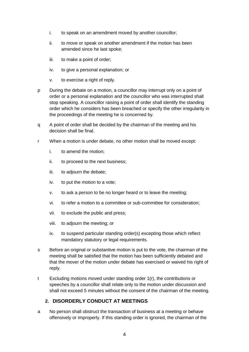- i. to speak on an amendment moved by another councillor;
- ii. to move or speak on another amendment if the motion has been amended since he last spoke;
- iii. to make a point of order;
- iv. to give a personal explanation; or
- v. to exercise a right of reply.
- p During the debate on a motion, a councillor may interrupt only on a point of order or a personal explanation and the councillor who was interrupted shall stop speaking. A councillor raising a point of order shall identify the standing order which he considers has been breached or specify the other irregularity in the proceedings of the meeting he is concerned by.
- q A point of order shall be decided by the chairman of the meeting and his decision shall be final.
- r When a motion is under debate, no other motion shall be moved except:
	- i. to amend the motion;
	- ii. to proceed to the next business;
	- iii. to adjourn the debate;
	- iv. to put the motion to a vote;
	- v. to ask a person to be no longer heard or to leave the meeting;
	- vi. to refer a motion to a committee or sub-committee for consideration;
	- vii. to exclude the public and press;
	- viii. to adjourn the meeting; or
	- ix. to suspend particular standing order(s) excepting those which reflect mandatory statutory or legal requirements.
- s Before an original or substantive motion is put to the vote, the chairman of the meeting shall be satisfied that the motion has been sufficiently debated and that the mover of the motion under debate has exercised or waived his right of reply.
- t Excluding motions moved under standing order 1(r), the contributions or speeches by a councillor shall relate only to the motion under discussion and shall not exceed 5 minutes without the consent of the chairman of the meeting.

# <span id="page-3-0"></span>**2. DISORDERLY CONDUCT AT MEETINGS**

a No person shall obstruct the transaction of business at a meeting or behave offensively or improperly. If this standing order is ignored, the chairman of the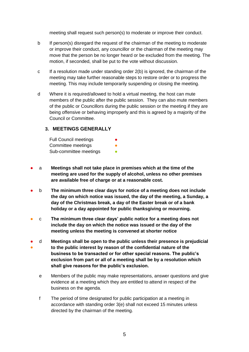meeting shall request such person(s) to moderate or improve their conduct.

- b If person(s) disregard the request of the chairman of the meeting to moderate or improve their conduct, any councillor or the chairman of the meeting may move that the person be no longer heard or be excluded from the meeting. The motion, if seconded, shall be put to the vote without discussion.
- c If a resolution made under standing order 2(b) is ignored, the chairman of the meeting may take further reasonable steps to restore order or to progress the meeting. This may include temporarily suspending or closing the meeting.
- d Where it is required/allowed to hold a virtual meeting, the host can mute members of the public after the public session. They can also mute members of the public or Councillors during the public session or the meeting if they are being offensive or behaving improperly and this is agreed by a majority of the Council or Committee.

#### **3. MEETINGS GENERALLY**

<span id="page-4-0"></span>

| <b>Full Council meetings</b> | ● |
|------------------------------|---|
| Committee meetings           |   |
| Sub-committee meetings       |   |

- a **Meetings shall not take place in premises which at the time of the meeting are used for the supply of alcohol, unless no other premises are available free of charge or at a reasonable cost.**
- b **The minimum three clear days for notice of a meeting does not include the day on which notice was issued, the day of the meeting, a Sunday, a day of the Christmas break, a day of the Easter break or of a bank holiday or a day appointed for public thanksgiving or mourning.**
- c **The minimum three clear days' public notice for a meeting does not include the day on which the notice was issued or the day of the meeting unless the meeting is convened at shorter notice**
- ● d **Meetings shall be open to the public unless their presence is prejudicial to the public interest by reason of the confidential nature of the business to be transacted or for other special reasons. The public's exclusion from part or all of a meeting shall be by a resolution which shall give reasons for the public's exclusion.**
	- e Members of the public may make representations, answer questions and give evidence at a meeting which they are entitled to attend in respect of the business on the agenda.
	- f The period of time designated for public participation at a meeting in accordance with standing order 3(e) shall not exceed 15 minutes unless directed by the chairman of the meeting.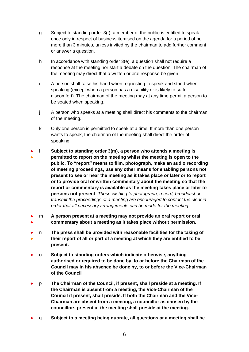- g Subject to standing order 3(f), a member of the public is entitled to speak once only in respect of business itemised on the agenda for a period of no more than 3 minutes, unless invited by the chairman to add further comment or answer a question.
- h In accordance with standing order 3(e), a question shall not require a response at the meeting nor start a debate on the question. The chairman of the meeting may direct that a written or oral response be given.
- i A person shall raise his hand when requesting to speak and stand when speaking (except when a person has a disability or is likely to suffer discomfort). The chairman of the meeting may at any time permit a person to be seated when speaking.
- j A person who speaks at a meeting shall direct his comments to the chairman of the meeting.
- k Only one person is permitted to speak at a time. If more than one person wants to speak, the chairman of the meeting shall direct the order of speaking.
- ● l **Subject to standing order 3(m), a person who attends a meeting is permitted to report on the meeting whilst the meeting is open to the public. To "report" means to film, photograph, make an audio recording of meeting proceedings, use any other means for enabling persons not present to see or hear the meeting as it takes place or later or to report or to provide oral or written commentary about the meeting so that the report or commentary is available as the meeting takes place or later to persons not present***. Those wishing to photograph, record, broadcast or transmit the proceedings of a meeting are encouraged to contact the clerk in order that all necessary arrangements can be made for the meeting.*
- ● m **A person present at a meeting may not provide an oral report or oral commentary about a meeting as it takes place without permission.**
- ● n **The press shall be provided with reasonable facilities for the taking of their report of all or part of a meeting at which they are entitled to be present.**
- o **Subject to standing orders which indicate otherwise, anything authorised or required to be done by, to or before the Chairman of the Council may in his absence be done by, to or before the Vice-Chairman of the Council**
- p **The Chairman of the Council, if present, shall preside at a meeting. If the Chairman is absent from a meeting, the Vice-Chairman of the Council if present, shall preside. If both the Chairman and the Vice-Chairman are absent from a meeting, a councillor as chosen by the councillors present at the meeting shall preside at the meeting.**
- q **Subject to a meeting being quorate, all questions at a meeting shall be**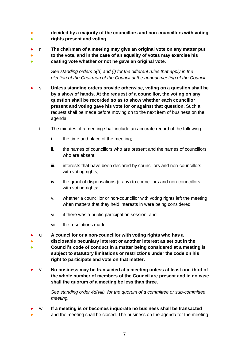- 。<br>● **decided by a majority of the councillors and non-councillors with voting rights present and voting.**
- r **The chairman of a meeting may give an original vote on any matter put**
- ● **to the vote, and in the case of an equality of votes may exercise his casting vote whether or not he gave an original vote.**

*See standing orders 5(h) and (i) for the different rules that apply in the election of the Chairman of the Council at the annual meeting of the Council.*

- s **Unless standing orders provide otherwise, voting on a question shall be by a show of hands. At the request of a councillor, the voting on any question shall be recorded so as to show whether each councillor present and voting gave his vote for or against that question.** Such a request shall be made before moving on to the next item of business on the agenda.
	- t The minutes of a meeting shall include an accurate record of the following:
		- i. the time and place of the meeting;
		- ii. the names of councillors who are present and the names of councillors who are absent;
		- iii. interests that have been declared by councillors and non-councillors with voting rights;
		- iv. the grant of dispensations (if any) to councillors and non-councillors with voting rights;
		- v. whether a councillor or non-councillor with voting rights left the meeting when matters that they held interests in were being considered;
		- vi. if there was a public participation session; and
		- vii. the resolutions made.
- u **A councillor or a non-councillor with voting rights who has a**
- ● **disclosable pecuniary interest or another interest as set out in the Council's code of conduct in a matter being considered at a meeting is subject to statutory limitations or restrictions under the code on his right to participate and vote on that matter.**
- v **No business may be transacted at a meeting unless at least one-third of the whole number of members of the Council are present and in no case shall the quorum of a meeting be less than three.**

*See standing order 4d(viii) for the quorum of a committee or sub-committee meeting.* 

- w **If a meeting is or becomes inquorate no business shall be transacted**
- and the meeting shall be closed. The business on the agenda for the meeting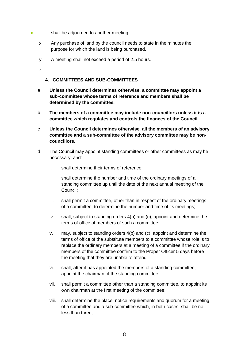- **•** shall be adjourned to another meeting.
	- x Any purchase of land by the council needs to state in the minutes the purpose for which the land is being purchased.
	- y A meeting shall not exceed a period of 2.5 hours.

z

#### <span id="page-7-0"></span>**4. COMMITTEES AND SUB-COMMITTEES**

- a **Unless the Council determines otherwise, a committee may appoint a sub-committee whose terms of reference and members shall be determined by the committee.**
- b **The members of a committee may include non-councillors unless it is a committee which regulates and controls the finances of the Council.**
- c **Unless the Council determines otherwise, all the members of an advisory committee and a sub-committee of the advisory committee may be noncouncillors.**
- d The Council may appoint standing committees or other committees as may be necessary, and:
	- i. shall determine their terms of reference;
	- ii. shall determine the number and time of the ordinary meetings of a standing committee up until the date of the next annual meeting of the Council;
	- iii. shall permit a committee, other than in respect of the ordinary meetings of a committee, to determine the number and time of its meetings;
	- iv. shall, subject to standing orders 4(b) and (c), appoint and determine the terms of office of members of such a committee;
	- v. may, subject to standing orders 4(b) and (c), appoint and determine the terms of office of the substitute members to a committee whose role is to replace the ordinary members at a meeting of a committee if the ordinary members of the committee confirm to the Proper Officer 5 days before the meeting that they are unable to attend;
	- vi. shall, after it has appointed the members of a standing committee, appoint the chairman of the standing committee;
	- vii. shall permit a committee other than a standing committee, to appoint its own chairman at the first meeting of the committee;
	- viii. shall determine the place, notice requirements and quorum for a meeting of a committee and a sub-committee which, in both cases, shall be no less than three;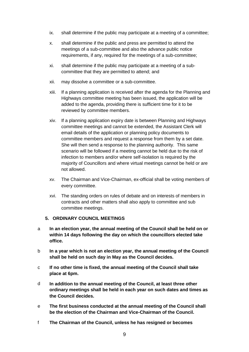- ix. shall determine if the public may participate at a meeting of a committee;
- x. shall determine if the public and press are permitted to attend the meetings of a sub-committee and also the advance public notice requirements, if any, required for the meetings of a sub-committee;
- xi. shall determine if the public may participate at a meeting of a subcommittee that they are permitted to attend; and
- xii. may dissolve a committee or a sub-committee.
- xiii. If a planning application is received after the agenda for the Planning and Highways committee meeting has been issued, the application will be added to the agenda, providing there is sufficient time for it to be reviewed by committee members.
- xiv. If a planning application expiry date is between Planning and Highways committee meetings and cannot be extended, the Assistant Clerk will email details of the application or planning policy documents to committee members and request a response from them by a set date. She will then send a response to the planning authority. This same scenario will be followed if a meeting cannot be held due to the risk of infection to members and/or where self-isolation is required by the majority of Councillors and where virtual meetings cannot be held or are not allowed.
- xv. The Chairman and Vice-Chairman, ex-official shall be voting members of every committee.
- xvi. The standing orders on rules of debate and on interests of members in contracts and other matters shall also apply to committee and sub committee meetings.

## <span id="page-8-0"></span>**5. ORDINARY COUNCIL MEETINGS**

- a **In an election year, the annual meeting of the Council shall be held on or within 14 days following the day on which the councillors elected take office.**
- b **In a year which is not an election year, the annual meeting of the Council shall be held on such day in May as the Council decides.**
- c **If no other time is fixed, the annual meeting of the Council shall take place at 6pm.**
- d **In addition to the annual meeting of the Council, at least three other ordinary meetings shall be held in each year on such dates and times as the Council decides.**
- e **The first business conducted at the annual meeting of the Council shall be the election of the Chairman and Vice-Chairman of the Council.**
- f **The Chairman of the Council, unless he has resigned or becomes**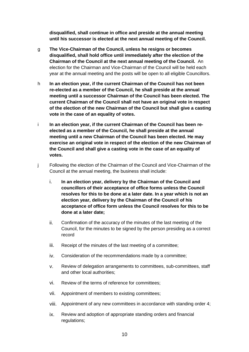**disqualified, shall continue in office and preside at the annual meeting until his successor is elected at the next annual meeting of the Council.** 

- g **The Vice-Chairman of the Council, unless he resigns or becomes disqualified, shall hold office until immediately after the election of the Chairman of the Council at the next annual meeting of the Council.** An election for the Chairman and Vice-Chairman of the Council will be held each year at the annual meeting and the posts will be open to all eligible Councillors.
- h **In an election year, if the current Chairman of the Council has not been re-elected as a member of the Council, he shall preside at the annual meeting until a successor Chairman of the Council has been elected. The current Chairman of the Council shall not have an original vote in respect of the election of the new Chairman of the Council but shall give a casting vote in the case of an equality of votes.**
- i **In an election year, if the current Chairman of the Council has been reelected as a member of the Council, he shall preside at the annual meeting until a new Chairman of the Council has been elected. He may exercise an original vote in respect of the election of the new Chairman of the Council and shall give a casting vote in the case of an equality of votes.**
- j Following the election of the Chairman of the Council and Vice-Chairman of the Council at the annual meeting, the business shall include:
	- i. **In an election year, delivery by the Chairman of the Council and councillors of their acceptance of office forms unless the Council resolves for this to be done at a later date. In a year which is not an election year, delivery by the Chairman of the Council of his acceptance of office form unless the Council resolves for this to be done at a later date;**
	- ii. Confirmation of the accuracy of the minutes of the last meeting of the Council, for the minutes to be signed by the person presiding as a correct record
	- iii. Receipt of the minutes of the last meeting of a committee;
	- iv. Consideration of the recommendations made by a committee;
	- v. Review of delegation arrangements to committees, sub-committees, staff and other local authorities;
	- vi. Review of the terms of reference for committees;
	- vii. Appointment of members to existing committees;
	- viii. Appointment of any new committees in accordance with standing order 4;
	- ix. Review and adoption of appropriate standing orders and financial regulations;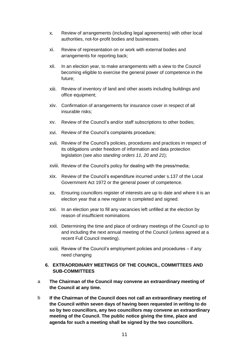- x. Review of arrangements (including legal agreements) with other local authorities, not-for-profit bodies and businesses.
- xi. Review of representation on or work with external bodies and arrangements for reporting back;
- xii. In an election year, to make arrangements with a view to the Council becoming eligible to exercise the general power of competence in the future;
- xiii. Review of inventory of land and other assets including buildings and office equipment;
- xiv. Confirmation of arrangements for insurance cover in respect of all insurable risks;
- xv. Review of the Council's and/or staff subscriptions to other bodies;
- xvi. Review of the Council's complaints procedure;
- xvii. Review of the Council's policies, procedures and practices in respect of its obligations under freedom of information and data protection legislation (*see also standing orders 11, 20 and 21*);
- xviii. Review of the Council's policy for dealing with the press/media;
- xix. Review of the Council's expenditure incurred under s.137 of the Local Government Act 1972 or the general power of competence.
- xx. Ensuring councillors register of interests are up to date and where it is an election year that a new register is completed and signed.
- xxi. In an election year to fill any vacancies left unfilled at the election by reason of insufficient nominations
- xxii. Determining the time and place of ordinary meetings of the Council up to and including the next annual meeting of the Council (unless agreed at a recent Full Council meeting).
- xxiii. Review of the Council's employment policies and procedures if any need changing

## <span id="page-10-0"></span>**6. EXTRAORDINARY MEETINGS OF THE COUNCIL, COMMITTEES AND SUB-COMMITTEES**

- a **The Chairman of the Council may convene an extraordinary meeting of the Council at any time.**
- b **If the Chairman of the Council does not call an extraordinary meeting of the Council within seven days of having been requested in writing to do so by two councillors, any two councillors may convene an extraordinary meeting of the Council. The public notice giving the time, place and agenda for such a meeting shall be signed by the two councillors.**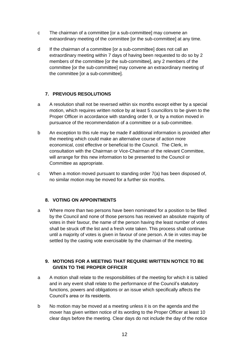- c The chairman of a committee [or a sub-committee] may convene an extraordinary meeting of the committee [or the sub-committee] at any time.
- d If the chairman of a committee [or a sub-committee] does not call an extraordinary meeting within 7 days of having been requested to do so by 2 members of the committee [or the sub-committee], any 2 members of the committee [or the sub-committee] may convene an extraordinary meeting of the committee [or a sub-committee].

# <span id="page-11-0"></span>**7. PREVIOUS RESOLUTIONS**

- a A resolution shall not be reversed within six months except either by a special motion, which requires written notice by at least 5 councillors to be given to the Proper Officer in accordance with standing order 9, or by a motion moved in pursuance of the recommendation of a committee or a sub-committee.
- b An exception to this rule may be made if additional information is provided after the meeting which could make an alternative course of action more economical, cost effective or beneficial to the Council. The Clerk, in consultation with the Chairman or Vice-Chairman of the relevant Committee, will arrange for this new information to be presented to the Council or Committee as appropriate.
- c When a motion moved pursuant to standing order 7(a) has been disposed of, no similar motion may be moved for a further six months.

## <span id="page-11-1"></span>**8. VOTING ON APPOINTMENTS**

a Where more than two persons have been nominated for a position to be filled by the Council and none of those persons has received an absolute majority of votes in their favour, the name of the person having the least number of votes shall be struck off the list and a fresh vote taken. This process shall continue until a majority of votes is given in favour of one person. A tie in votes may be settled by the casting vote exercisable by the chairman of the meeting.

## <span id="page-11-2"></span>**9. MOTIONS FOR A MEETING THAT REQUIRE WRITTEN NOTICE TO BE GIVEN TO THE PROPER OFFICER**

- a A motion shall relate to the responsibilities of the meeting for which it is tabled and in any event shall relate to the performance of the Council's statutory functions, powers and obligations or an issue which specifically affects the Council's area or its residents.
- b No motion may be moved at a meeting unless it is on the agenda and the mover has given written notice of its wording to the Proper Officer at least 10 clear days before the meeting. Clear days do not include the day of the notice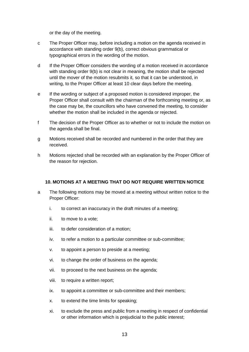or the day of the meeting.

- c The Proper Officer may, before including a motion on the agenda received in accordance with standing order 9(b), correct obvious grammatical or typographical errors in the wording of the motion.
- d If the Proper Officer considers the wording of a motion received in accordance with standing order 9(b) is not clear in meaning, the motion shall be rejected until the mover of the motion resubmits it, so that it can be understood, in writing, to the Proper Officer at least 10 clear days before the meeting.
- e If the wording or subject of a proposed motion is considered improper, the Proper Officer shall consult with the chairman of the forthcoming meeting or, as the case may be, the councillors who have convened the meeting, to consider whether the motion shall be included in the agenda or rejected.
- f The decision of the Proper Officer as to whether or not to include the motion on the agenda shall be final.
- g Motions received shall be recorded and numbered in the order that they are received.
- h Motions rejected shall be recorded with an explanation by the Proper Officer of the reason for rejection.

## <span id="page-12-0"></span>**10. MOTIONS AT A MEETING THAT DO NOT REQUIRE WRITTEN NOTICE**

- a The following motions may be moved at a meeting without written notice to the Proper Officer:
	- i. to correct an inaccuracy in the draft minutes of a meeting;
	- ii. to move to a vote;
	- iii. to defer consideration of a motion;
	- iv. to refer a motion to a particular committee or sub-committee;
	- v. to appoint a person to preside at a meeting;
	- vi. to change the order of business on the agenda;
	- vii. to proceed to the next business on the agenda;
	- viii. to require a written report;
	- ix. to appoint a committee or sub-committee and their members;
	- x. to extend the time limits for speaking;
	- xi. to exclude the press and public from a meeting in respect of confidential or other information which is prejudicial to the public interest;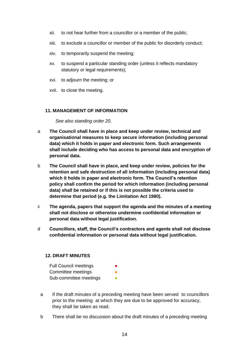- xii. to not hear further from a councillor or a member of the public;
- xiii. to exclude a councillor or member of the public for disorderly conduct;
- xiv. to temporarily suspend the meeting;
- xv. to suspend a particular standing order (unless it reflects mandatory statutory or legal requirements);
- xvi. to adjourn the meeting; or
- xvii. to close the meeting.

#### <span id="page-13-0"></span>**11. MANAGEMENT OF INFORMATION**

*See also standing order 20.*

- a **The Council shall have in place and keep under review, technical and organisational measures to keep secure information (including personal data) which it holds in paper and electronic form. Such arrangements shall include deciding who has access to personal data and encryption of personal data.**
- b **The Council shall have in place, and keep under review, policies for the retention and safe destruction of all information (including personal data) which it holds in paper and electronic form. The Council's retention policy shall confirm the period for which information (including personal data) shall be retained or if this is not possible the criteria used to determine that period (e.g. the Limitation Act 1980).**
- c **The agenda, papers that support the agenda and the minutes of a meeting shall not disclose or otherwise undermine confidential information or personal data without legal justification.**
- d **Councillors, staff, the Council's contractors and agents shall not disclose confidential information or personal data without legal justification.**

#### <span id="page-13-1"></span>**12. DRAFT MINUTES**

- **Full Council meetings** Committee meetings Sub-committee meetings
- a If the draft minutes of a preceding meeting have been served to councillors prior to the meeting at which they are due to be approved for accuracy, they shall be taken as read.
- b There shall be no discussion about the draft minutes of a preceding meeting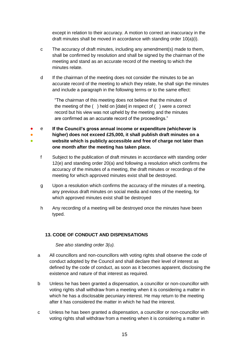except in relation to their accuracy. A motion to correct an inaccuracy in the draft minutes shall be moved in accordance with standing order 10(a)(i).

- c The accuracy of draft minutes, including any amendment(s) made to them, shall be confirmed by resolution and shall be signed by the chairman of the meeting and stand as an accurate record of the meeting to which the minutes relate.
- d If the chairman of the meeting does not consider the minutes to be an accurate record of the meeting to which they relate, he shall sign the minutes and include a paragraph in the following terms or to the same effect:

"The chairman of this meeting does not believe that the minutes of the meeting of the ( ) held on [date] in respect of ( ) were a correct record but his view was not upheld by the meeting and the minutes are confirmed as an accurate record of the proceedings."

- ● ● e **If the Council's gross annual income or expenditure (whichever is higher) does not exceed £25,000, it shall publish draft minutes on a website which is publicly accessible and free of charge not later than one month after the meeting has taken place.**
	- f Subject to the publication of draft minutes in accordance with standing order 12(e) and standing order 20(a) and following a resolution which confirms the accuracy of the minutes of a meeting, the draft minutes or recordings of the meeting for which approved minutes exist shall be destroyed.
	- g Upon a resolution which confirms the accuracy of the minutes of a meeting, any previous draft minutes on social media and notes of the meeting, for which approved minutes exist shall be destroyed
	- h Any recording of a meeting will be destroyed once the minutes have been typed.

## <span id="page-14-0"></span>**13. CODE OF CONDUCT AND DISPENSATIONS**

*See also standing order 3(u).*

- a All councillors and non-councillors with voting rights shall observe the code of conduct adopted by the Council and shall declare their level of interest as defined by the code of conduct, as soon as it becomes apparent, disclosing the existence and nature of that interest as required.
- b Unless he has been granted a dispensation, a councillor or non-councillor with voting rights shall withdraw from a meeting when it is considering a matter in which he has a disclosable pecuniary interest. He may return to the meeting after it has considered the matter in which he had the interest.
- c Unless he has been granted a dispensation, a councillor or non-councillor with voting rights shall withdraw from a meeting when it is considering a matter in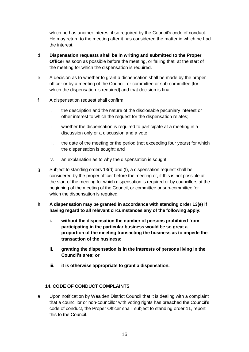which he has another interest if so required by the Council's code of conduct. He may return to the meeting after it has considered the matter in which he had the interest.

- d **Dispensation requests shall be in writing and submitted to the Proper Officer** as soon as possible before the meeting, or failing that, at the start of the meeting for which the dispensation is required.
- e A decision as to whether to grant a dispensation shall be made by the proper officer or by a meeting of the Council, or committee or sub-committee [for which the dispensation is required] and that decision is final.
- f A dispensation request shall confirm:
	- i. the description and the nature of the disclosable pecuniary interest or other interest to which the request for the dispensation relates;
	- ii. whether the dispensation is required to participate at a meeting in a discussion only or a discussion and a vote;
	- iii. the date of the meeting or the period (not exceeding four years) for which the dispensation is sought; and
	- iv. an explanation as to why the dispensation is sought.
- g Subject to standing orders 13(d) and (f), a dispensation request shall be considered by the proper officer before the meeting or, if this is not possible at the start of the meeting for which dispensation is required or by councillors at the beginning of the meeting of the Council, or committee or sub-committee for which the dispensation is required.
- **h A dispensation may be granted in accordance with standing order 13(e) if having regard to all relevant circumstances any of the following apply:**
	- **i. without the dispensation the number of persons prohibited from participating in the particular business would be so great a proportion of the meeting transacting the business as to impede the transaction of the business;**
	- **ii. granting the dispensation is in the interests of persons living in the Council's area; or**
	- **iii. it is otherwise appropriate to grant a dispensation.**

## <span id="page-15-0"></span>**14. CODE OF CONDUCT COMPLAINTS**

a Upon notification by Wealden District Council that it is dealing with a complaint that a councillor or non-councillor with voting rights has breached the Council's code of conduct, the Proper Officer shall, subject to standing order 11, report this to the Council.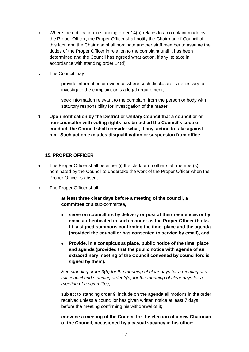- b Where the notification in standing order 14(a) relates to a complaint made by the Proper Officer, the Proper Officer shall notify the Chairman of Council of this fact, and the Chairman shall nominate another staff member to assume the duties of the Proper Officer in relation to the complaint until it has been determined and the Council has agreed what action, if any, to take in accordance with standing order 14(d).
- c The Council may:
	- i. provide information or evidence where such disclosure is necessary to investigate the complaint or is a legal requirement;
	- ii. seek information relevant to the complaint from the person or body with statutory responsibility for investigation of the matter;
- d **Upon notification by the District or Unitary Council that a councillor or non-councillor with voting rights has breached the Council's code of conduct, the Council shall consider what, if any, action to take against him. Such action excludes disqualification or suspension from office.**

#### <span id="page-16-0"></span>**15. PROPER OFFICER**

- a The Proper Officer shall be either (i) the clerk or (ii) other staff member(s) nominated by the Council to undertake the work of the Proper Officer when the Proper Officer is absent.
- b The Proper Officer shall:
	- i. **at least three clear days before a meeting of the council, a committee** or a sub-committee**,**
		- **serve on councillors by delivery or post at their residences or by email authenticated in such manner as the Proper Officer thinks fit, a signed summons confirming the time, place and the agenda (provided the councillor has consented to service by email), and**
		- **Provide, in a conspicuous place, public notice of the time, place and agenda (provided that the public notice with agenda of an extraordinary meeting of the Council convened by councillors is signed by them).**

*See standing order 3(b) for the meaning of clear days for a meeting of a full council and standing order 3(c) for the meaning of clear days for a meeting of a committee;*

- ii. subject to standing order 9, include on the agenda all motions in the order received unless a councillor has given written notice at least 7 days before the meeting confirming his withdrawal of it;
- iii. **convene a meeting of the Council for the election of a new Chairman of the Council, occasioned by a casual vacancy in his office;**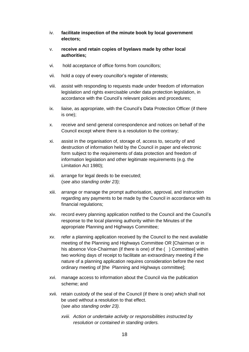- iv. **facilitate inspection of the minute book by local government electors;**
- v. **receive and retain copies of byelaws made by other local authorities;**
- vi. hold acceptance of office forms from councillors;
- vii. hold a copy of every councillor's register of interests;
- viii. assist with responding to requests made under freedom of information legislation and rights exercisable under data protection legislation, in accordance with the Council's relevant policies and procedures;
- ix. liaise, as appropriate, with the Council's Data Protection Officer (if there is one);
- x. receive and send general correspondence and notices on behalf of the Council except where there is a resolution to the contrary;
- xi. assist in the organisation of, storage of, access to, security of and destruction of information held by the Council in paper and electronic form subject to the requirements of data protection and freedom of information legislation and other legitimate requirements (e.g. the Limitation Act 1980);
- xii. arrange for legal deeds to be executed; (*see also standing order 23);*
- xiii. arrange or manage the prompt authorisation, approval, and instruction regarding any payments to be made by the Council in accordance with its financial regulations;
- xiv. record every planning application notified to the Council and the Council's response to the local planning authority within the Minutes of the appropriate Planning and Highways Committee;
- xv. refer a planning application received by the Council to the next available meeting of the Planning and Highways Committee OR [Chairman or in his absence Vice-Chairman (if there is one) of the () Committee] within two working days of receipt to facilitate an extraordinary meeting if the nature of a planning application requires consideration before the next ordinary meeting of [the Planning and Highways committee];
- xvi. manage access to information about the Council via the publication scheme; and
- xvii. retain custody of the seal of the Council (if there is one) which shall not be used without a resolution to that effect. (s*ee also standing order 23).*
	- *xviii. Action or undertake activity or responsibilities instructed by resolution or contained in standing orders.*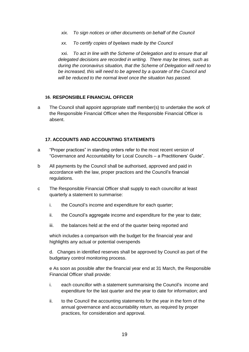- *xix. To sign notices or other documents on behalf of the Council*
- *xx. To certify copies of byelaws made by the Council*

xxi. *To act in line with the Scheme of Delegation and to ensure that all delegated decisions are recorded in writing. There may be times, such as during the coronavirus situation, that the Scheme of Delegation will need to be increased, this will need to be agreed by a quorate of the Council and will be reduced to the normal level once the situation has passed.*

#### <span id="page-18-0"></span>**16. RESPONSIBLE FINANCIAL OFFICER**

a The Council shall appoint appropriate staff member(s) to undertake the work of the Responsible Financial Officer when the Responsible Financial Officer is absent.

#### <span id="page-18-1"></span>**17. ACCOUNTS AND ACCOUNTING STATEMENTS**

- a "Proper practices" in standing orders refer to the most recent version of "Governance and Accountability for Local Councils – a Practitioners' Guide".
- b All payments by the Council shall be authorised, approved and paid in accordance with the law, proper practices and the Council's financial regulations.
- c The Responsible Financial Officer shall supply to each councillor at least quarterly a statement to summarise:
	- i. the Council's income and expenditure for each quarter;
	- ii. the Council's aggregate income and expenditure for the year to date;
	- iii. the balances held at the end of the quarter being reported and

which includes a comparison with the budget for the financial year and highlights any actual or potential overspends

d. Changes in identified reserves shall be approved by Council as part of the budgetary control monitoring process.

e As soon as possible after the financial year end at 31 March, the Responsible Financial Officer shall provide:

- i. each councillor with a statement summarising the Council's income and expenditure for the last quarter and the year to date for information; and
- ii. to the Council the accounting statements for the year in the form of the annual governance and accountability return, as required by proper practices, for consideration and approval.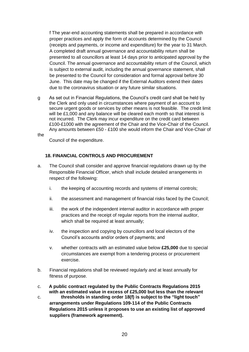f The year-end accounting statements shall be prepared in accordance with proper practices and apply the form of accounts determined by the Council (receipts and payments, or income and expenditure) for the year to 31 March. A completed draft annual governance and accountability return shall be presented to all councillors at least 14 days prior to anticipated approval by the Council. The annual governance and accountability return of the Council, which is subject to external audit, including the annual governance statement, shall be presented to the Council for consideration and formal approval before 30 June. This date may be changed if the External Auditors extend their dates due to the coronavirus situation or any future similar situations.

g As set out in Financial Regulations, the Council's credit card shall be held by the Clerk and only used in circumstances where payment of an account to secure urgent goods or services by other means is not feasible. The credit limit will be £1,000 and any balance will be cleared each month so that interest is not incurred. The Clerk may incur expenditure on the credit card between £100-£1000 with the agreement of the Chair and the Vice-Chair of the Council. Any amounts between £50 - £100 she would inform the Chair and Vice-Chair of

the

Council of the expenditure.

#### <span id="page-19-0"></span>**18. FINANCIAL CONTROLS AND PROCUREMENT**

- a. The Council shall consider and approve financial regulations drawn up by the Responsible Financial Officer, which shall include detailed arrangements in respect of the following:
	- i. the keeping of accounting records and systems of internal controls;
	- ii. the assessment and management of financial risks faced by the Council;
	- iii. the work of the independent internal auditor in accordance with proper practices and the receipt of regular reports from the internal auditor, which shall be required at least annually;
	- iv. the inspection and copying by councillors and local electors of the Council's accounts and/or orders of payments; and
	- v. whether contracts with an estimated value below **£25,000** due to special circumstances are exempt from a tendering process or procurement exercise.
- b. Financial regulations shall be reviewed regularly and at least annually for fitness of purpose.
- c. **A public contract regulated by the Public Contracts Regulations 2015 with an estimated value in excess of £25,000 but less than the relevant**
- c. **thresholds in standing order 18(f) is subject to the "light touch" arrangements under Regulations 109-114 of the Public Contracts Regulations 2015 unless it proposes to use an existing list of approved suppliers (framework agreement).**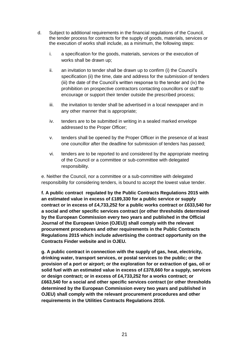- d. Subject to additional requirements in the financial regulations of the Council, the tender process for contracts for the supply of goods, materials, services or the execution of works shall include, as a minimum, the following steps:
	- i. a specification for the goods, materials, services or the execution of works shall be drawn up;
	- ii. an invitation to tender shall be drawn up to confirm (i) the Council's specification (ii) the time, date and address for the submission of tenders (iii) the date of the Council's written response to the tender and (iv) the prohibition on prospective contractors contacting councillors or staff to encourage or support their tender outside the prescribed process;
	- iii. the invitation to tender shall be advertised in a local newspaper and in any other manner that is appropriate;
	- iv. tenders are to be submitted in writing in a sealed marked envelope addressed to the Proper Officer;
	- v. tenders shall be opened by the Proper Officer in the presence of at least one councillor after the deadline for submission of tenders has passed;
	- vi. tenders are to be reported to and considered by the appropriate meeting of the Council or a committee or sub-committee with delegated responsibility.

e. Neither the Council, nor a committee or a sub-committee with delegated responsibility for considering tenders, is bound to accept the lowest value tender.

**f. A public contract regulated by the Public Contracts Regulations 2015 with an estimated value in excess of £189,330 for a public service or supply contract or in excess of £4,733,252 for a public works contract or £633,540 for a social and other specific services contract (or other thresholds determined by the European Commission every two years and published in the Official Journal of the European Union (OJEU)) shall comply with the relevant procurement procedures and other requirements in the Public Contracts Regulations 2015 which include advertising the contract opportunity on the Contracts Finder website and in OJEU.**

**g. A public contract in connection with the supply of gas, heat, electricity, drinking water, transport services, or postal services to the public; or the provision of a port or airport; or the exploration for or extraction of gas, oil or solid fuel with an estimated value in excess of £378,660 for a supply, services or design contract; or in excess of £4,733,252 for a works contract; or £663,540 for a social and other specific services contract (or other thresholds determined by the European Commission every two years and published in OJEU) shall comply with the relevant procurement procedures and other requirements in the Utilities Contracts Regulations 2016.**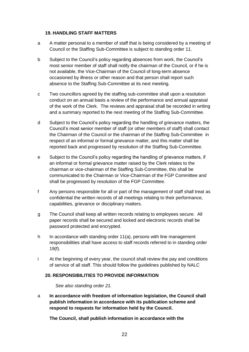#### <span id="page-21-0"></span>**19. HANDLING STAFF MATTERS**

- a A matter personal to a member of staff that is being considered by a meeting of Council or the Staffing Sub-Committee is subject to standing order 11.
- b Subject to the Council's policy regarding absences from work, the Council's most senior member of staff shall notify the chairman of the Council, or if he is not available, the Vice-Chairman of the Council of long-term absence occasioned by illness or other reason and that person shall report such absence to the Staffing Sub-Committee at its next meeting.
- c Two councillors agreed by the staffing sub-committee shall upon a resolution conduct on an annual basis a review of the performance and annual appraisal of the work of the Clerk. The reviews and appraisal shall be recorded in writing and a summary reported to the next meeting of the Staffing Sub-Committee.
- d Subject to the Council's policy regarding the handling of grievance matters, the Council's most senior member of staff (or other members of staff) shall contact the Chairman of the Council or the chairman of the Staffing Sub-Committee in respect of an informal or formal grievance matter, and this matter shall be reported back and progressed by resolution of the Staffing Sub-Committee.
- e Subject to the Council's policy regarding the handling of grievance matters, if an informal or formal grievance matter raised by the Clerk relates to the chairman or vice-chairman of the Staffing Sub-Committee, this shall be communicated to the Chairman or Vice-Chairman of the FGP Committee and shall be progressed by resolution of the FGP Committee.
- f Any persons responsible for all or part of the management of staff shall treat as confidential the written records of all meetings relating to their performance, capabilities, grievance or disciplinary matters.
- g The Council shall keep all written records relating to employees secure. All paper records shall be secured and locked and electronic records shall be password protected and encrypted.
- h In accordance with standing order 11(a), persons with line management responsibilities shall have access to staff records referred to in standing order 19(f).
- i At the beginning of every year, the council shall review the pay and conditions of service of all staff. This should follow the guidelines published by NALC

#### <span id="page-21-1"></span>**20. RESPONSIBILITIES TO PROVIDE INFORMATION**

*See also standing order 21.*

a **In accordance with freedom of information legislation, the Council shall publish information in accordance with its publication scheme and respond to requests for information held by the Council.**

**The Council, shall publish information in accordance with the**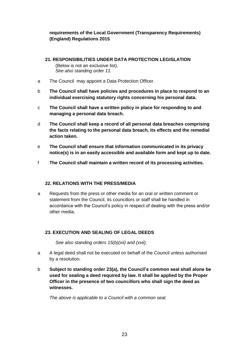## **requirements of the Local Government (Transparency Requirements) (England) Regulations 2015**.

<span id="page-22-0"></span>**21. RESPONSIBILITIES UNDER DATA PROTECTION LEGISLATION** 

(Below is not an exclusive list). *See also standing order 11.*

- a The Council may appoint a Data Protection Officer.
- b **The Council shall have policies and procedures in place to respond to an individual exercising statutory rights concerning his personal data.**
- c **The Council shall have a written policy in place for responding to and managing a personal data breach.**
- d **The Council shall keep a record of all personal data breaches comprising the facts relating to the personal data breach, its effects and the remedial action taken.**
- e **The Council shall ensure that information communicated in its privacy notice(s) is in an easily accessible and available form and kept up to date.**
- f **The Council shall maintain a written record of its processing activities.**

## <span id="page-22-1"></span>**22. RELATIONS WITH THE PRESS/MEDIA**

a Requests from the press or other media for an oral or written comment or statement from the Council, its councillors or staff shall be handled in accordance with the Council's policy in respect of dealing with the press and/or other media.

## <span id="page-22-2"></span>**23. EXECUTION AND SEALING OF LEGAL DEEDS**

*See also standing orders 15(b)(xii) and (xvii).*

- a A legal deed shall not be executed on behalf of the Council unless authorised by a resolution.
- b **Subject to standing order 23(a), the Council's common seal shall alone be used for sealing a deed required by law. It shall be applied by the Proper Officer in the presence of two councillors who shall sign the deed as witnesses.**

*The above is applicable to a Council with a common seal.*